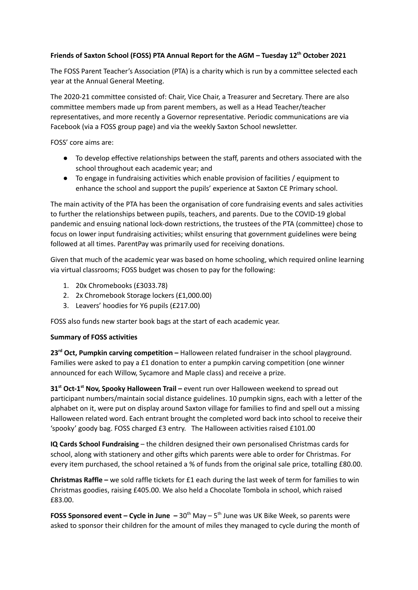## **Friends of Saxton School (FOSS) PTA Annual Report for the AGM – Tuesday 12 th October 2021**

The FOSS Parent Teacher's Association (PTA) is a charity which is run by a committee selected each year at the Annual General Meeting.

The 2020-21 committee consisted of: Chair, Vice Chair, a Treasurer and Secretary. There are also committee members made up from parent members, as well as a Head Teacher/teacher representatives, and more recently a Governor representative. Periodic communications are via Facebook (via a FOSS group page) and via the weekly Saxton School newsletter.

FOSS' core aims are:

- To develop effective relationships between the staff, parents and others associated with the school throughout each academic year; and
- To engage in fundraising activities which enable provision of facilities / equipment to enhance the school and support the pupils' experience at Saxton CE Primary school.

The main activity of the PTA has been the organisation of core fundraising events and sales activities to further the relationships between pupils, teachers, and parents. Due to the COVID-19 global pandemic and ensuing national lock-down restrictions, the trustees of the PTA (committee) chose to focus on lower input fundraising activities; whilst ensuring that government guidelines were being followed at all times. ParentPay was primarily used for receiving donations.

Given that much of the academic year was based on home schooling, which required online learning via virtual classrooms; FOSS budget was chosen to pay for the following:

- 1. 20x Chromebooks (£3033.78)
- 2. 2x Chromebook Storage lockers (£1,000.00)
- 3. Leavers' hoodies for Y6 pupils (£217.00)

FOSS also funds new starter book bags at the start of each academic year.

## **Summary of FOSS activities**

**23 rd Oct, Pumpkin carving competition –** Halloween related fundraiser in the school playground. Families were asked to pay a £1 donation to enter a pumpkin carving competition (one winner announced for each Willow, Sycamore and Maple class) and receive a prize.

**31 st Oct-1 st Nov, Spooky Halloween Trail –** event run over Halloween weekend to spread out participant numbers/maintain social distance guidelines. 10 pumpkin signs, each with a letter of the alphabet on it, were put on display around Saxton village for families to find and spell out a missing Halloween related word. Each entrant brought the completed word back into school to receive their 'spooky' goody bag. FOSS charged £3 entry. The Halloween activities raised £101.00

**IQ Cards School Fundraising** – the children designed their own personalised Christmas cards for school, along with stationery and other gifts which parents were able to order for Christmas. For every item purchased, the school retained a % of funds from the original sale price, totalling £80.00.

**Christmas Raffle –** we sold raffle tickets for £1 each during the last week of term for families to win Christmas goodies, raising £405.00. We also held a Chocolate Tombola in school, which raised £83.00.

**FOSS Sponsored event – Cycle in June –** 30 th May – 5 th June was UK Bike Week, so parents were asked to sponsor their children for the amount of miles they managed to cycle during the month of